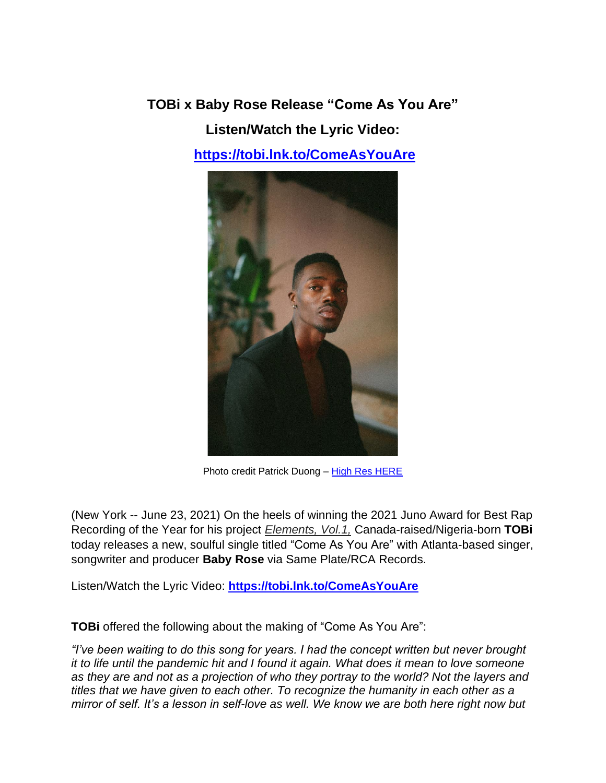**TOBi x Baby Rose Release "Come As You Are"**

**Listen/Watch the Lyric Video:**

**<https://tobi.lnk.to/ComeAsYouAre>**



Photo credit Patrick Duong – [High Res HERE](https://sm01.box.com/s/vz28welaq829kaes2j5ngigbvf750snx)

(New York -- June 23, 2021) On the heels of winning the 2021 Juno Award for Best Rap Recording of the Year for his project *Elements, Vol.1,* Canada-raised/Nigeria-born **TOBi** today releases a new, soulful single titled "Come As You Are" with Atlanta-based singer, songwriter and producer **Baby Rose** via Same Plate/RCA Records.

Listen/Watch the Lyric Video: **<https://tobi.lnk.to/ComeAsYouAre>**

**TOBi** offered the following about the making of "Come As You Are":

*"I've been waiting to do this song for years. I had the concept written but never brought it to life until the pandemic hit and I found it again. What does it mean to love someone as they are and not as a projection of who they portray to the world? Not the layers and titles that we have given to each other. To recognize the humanity in each other as a mirror of self. It's a lesson in self-love as well. We know we are both here right now but*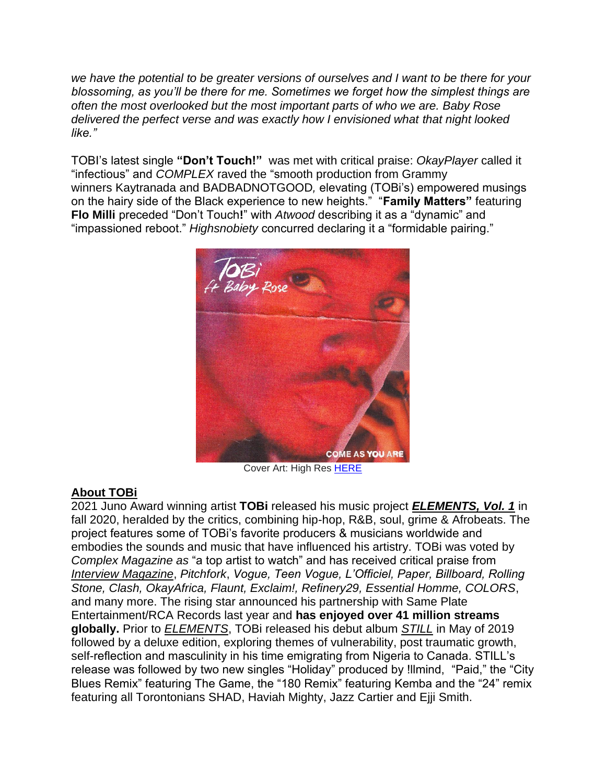*we have the potential to be greater versions of ourselves and I want to be there for your blossoming, as you'll be there for me. Sometimes we forget how the simplest things are often the most overlooked but the most important parts of who we are. Baby Rose delivered the perfect verse and was exactly how I envisioned what that night looked like."*

TOBI's latest single **"Don't Touch!"** was met with critical praise: *OkayPlayer* called it "infectious" and *COMPLEX* raved the "smooth production from Grammy winners Kaytranada and BADBADNOTGOOD*,* elevating (TOBi's) empowered musings on the hairy side of the Black experience to new heights." "**Family Matters"** featuring **Flo Milli** preceded "Don't Touch**!**" with *Atwood* describing it as a "dynamic" and "impassioned reboot." *Highsnobiety* concurred declaring it a "formidable pairing."



Cover Art: High Res [HERE](https://sm01.box.com/s/urytcb7seha05hye1dbzx2bf3az3lzd3)

## **About TOBi**

2021 Juno Award winning artist **TOBi** released his music project *ELEMENTS, Vol. 1* in fall 2020, heralded by the critics, combining hip-hop, R&B, soul, grime & Afrobeats. The project features some of TOBi's favorite producers & musicians worldwide and embodies the sounds and music that have influenced his artistry. TOBi was voted by *Complex Magazine as* "a top artist to watch" and has received critical praise from *[Interview Magazine](https://www.interviewmagazine.com/music/tobi-is-listening-to-outkast-nina-simone-and-the-tarzan-soundtrack)*, *Pitchfork*, *Vogue, Teen Vogue, L'Officiel, Paper, Billboard, Rolling Stone, Clash, OkayAfrica, Flaunt, Exclaim!, Refinery29, Essential Homme, COLORS*, and many more. The rising star announced his partnership with Same Plate Entertainment/RCA Records last year and **has enjoyed over 41 million streams globally.** Prior to *ELEMENTS*, TOBi released his debut album *STILL* in May of 2019 followed by a deluxe edition, exploring themes of vulnerability, post traumatic growth, self-reflection and masculinity in his time emigrating from Nigeria to Canada. STILL's release was followed by two new singles "Holiday" produced by !llmind, "Paid," the "City Blues Remix" featuring The Game, the "180 Remix" featuring Kemba and the "24" remix featuring all Torontonians SHAD, Haviah Mighty, Jazz Cartier and Ejji Smith.